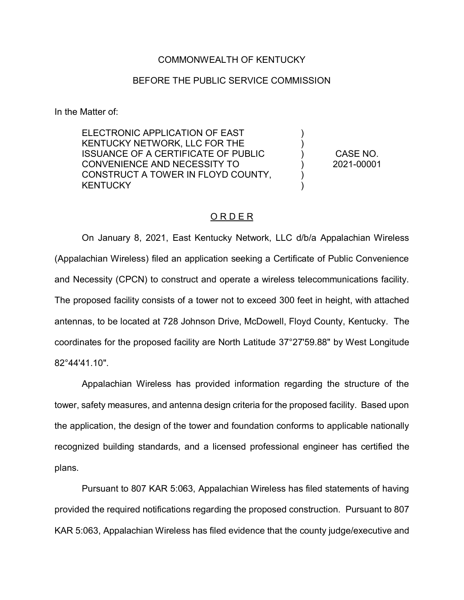## COMMONWEALTH OF KENTUCKY

## BEFORE THE PUBLIC SERVICE COMMISSION

In the Matter of:

ELECTRONIC APPLICATION OF EAST KENTUCKY NETWORK, LLC FOR THE ISSUANCE OF A CERTIFICATE OF PUBLIC CONVENIENCE AND NECESSITY TO CONSTRUCT A TOWER IN FLOYD COUNTY, **KENTUCKY** 

CASE NO. 2021-00001

) ) ) ) ) )

## O R D E R

On January 8, 2021, East Kentucky Network, LLC d/b/a Appalachian Wireless (Appalachian Wireless) filed an application seeking a Certificate of Public Convenience and Necessity (CPCN) to construct and operate a wireless telecommunications facility. The proposed facility consists of a tower not to exceed 300 feet in height, with attached antennas, to be located at 728 Johnson Drive, McDowell, Floyd County, Kentucky. The coordinates for the proposed facility are North Latitude 37°27'59.88" by West Longitude 82°44'41.10".

Appalachian Wireless has provided information regarding the structure of the tower, safety measures, and antenna design criteria for the proposed facility. Based upon the application, the design of the tower and foundation conforms to applicable nationally recognized building standards, and a licensed professional engineer has certified the plans.

Pursuant to 807 KAR 5:063, Appalachian Wireless has filed statements of having provided the required notifications regarding the proposed construction. Pursuant to 807 KAR 5:063, Appalachian Wireless has filed evidence that the county judge/executive and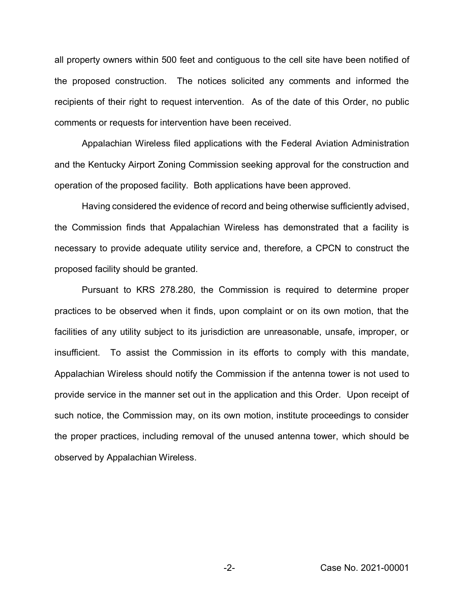all property owners within 500 feet and contiguous to the cell site have been notified of the proposed construction. The notices solicited any comments and informed the recipients of their right to request intervention. As of the date of this Order, no public comments or requests for intervention have been received.

Appalachian Wireless filed applications with the Federal Aviation Administration and the Kentucky Airport Zoning Commission seeking approval for the construction and operation of the proposed facility. Both applications have been approved.

Having considered the evidence of record and being otherwise sufficiently advised, the Commission finds that Appalachian Wireless has demonstrated that a facility is necessary to provide adequate utility service and, therefore, a CPCN to construct the proposed facility should be granted.

Pursuant to KRS 278.280, the Commission is required to determine proper practices to be observed when it finds, upon complaint or on its own motion, that the facilities of any utility subject to its jurisdiction are unreasonable, unsafe, improper, or insufficient. To assist the Commission in its efforts to comply with this mandate, Appalachian Wireless should notify the Commission if the antenna tower is not used to provide service in the manner set out in the application and this Order. Upon receipt of such notice, the Commission may, on its own motion, institute proceedings to consider the proper practices, including removal of the unused antenna tower, which should be observed by Appalachian Wireless.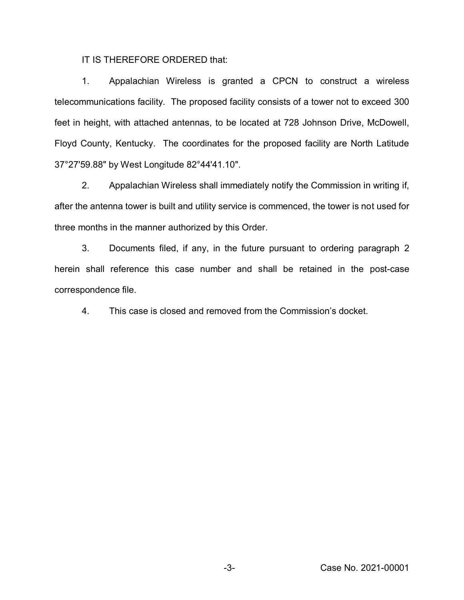IT IS THEREFORE ORDERED that:

1. Appalachian Wireless is granted a CPCN to construct a wireless telecommunications facility. The proposed facility consists of a tower not to exceed 300 feet in height, with attached antennas, to be located at 728 Johnson Drive, McDowell, Floyd County, Kentucky. The coordinates for the proposed facility are North Latitude 37°27'59.88" by West Longitude 82°44'41.10".

2. Appalachian Wireless shall immediately notify the Commission in writing if, after the antenna tower is built and utility service is commenced, the tower is not used for three months in the manner authorized by this Order.

3. Documents filed, if any, in the future pursuant to ordering paragraph 2 herein shall reference this case number and shall be retained in the post-case correspondence file.

4. This case is closed and removed from the Commission's docket.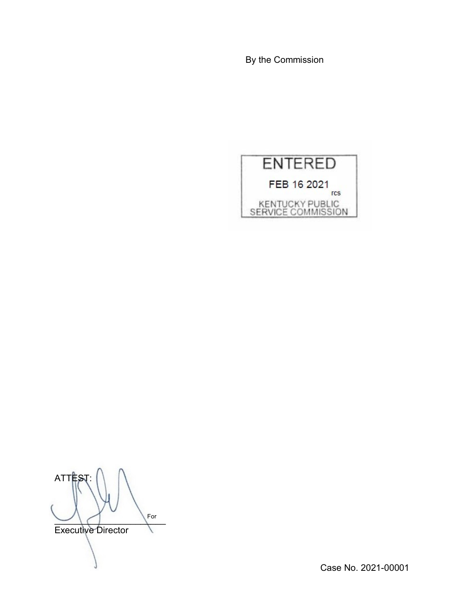By the Commission



**ATT**  $\cup$   $\setminus$   $\cap$ Executive Director For

Case No. 2021-00001